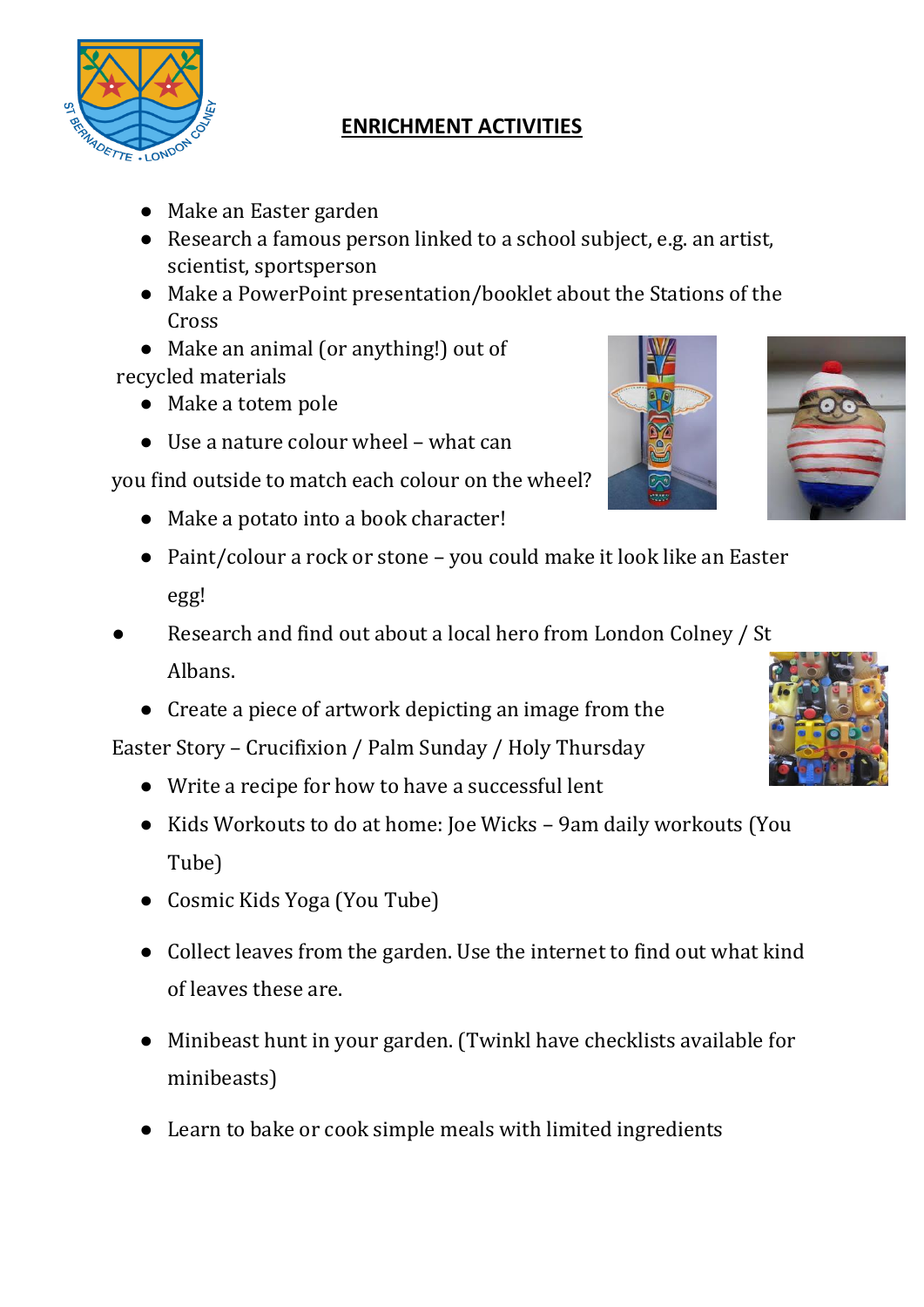

## **ENRICHMENT ACTIVITIES**

- Make an Easter garden
- Research a famous person linked to a school subject, e.g. an artist, scientist, sportsperson
- Make a PowerPoint presentation/booklet about the Stations of the Cross
- Make an animal (or anything!) out of recycled materials
	- Make a totem pole
	- Use a nature colour wheel what can

you find outside to match each colour on the wheel?

- Make a potato into a book character!
- Paint/colour a rock or stone you could make it look like an Easter egg!
- Research and find out about a local hero from London Colney / St Albans.
	- Create a piece of artwork depicting an image from the

Easter Story – Crucifixion / Palm Sunday / Holy Thursday

- Write a recipe for how to have a successful lent
- Kids Workouts to do at home: Joe Wicks 9am daily workouts (You Tube)
- Cosmic Kids Yoga (You Tube)
- Collect leaves from the garden. Use the internet to find out what kind of leaves these are.
- Minibeast hunt in your garden. (Twinkl have checklists available for minibeasts)
- Learn to bake or cook simple meals with limited ingredients